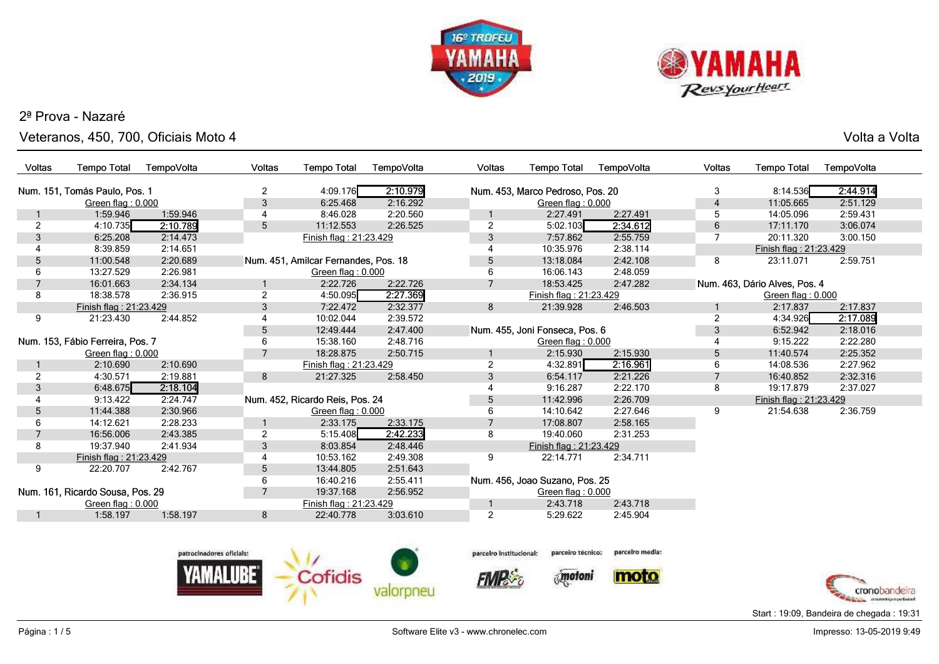



Veteranos, 450, 700, Oficiais Moto 4

Volta a Volta

| Voltas          | <b>Tempo Total</b>               | TempoVolta | Voltas                     | <b>Tempo Total</b>                   | TempoVolta | Voltas         | <b>Tempo Total</b>               | TempoVolta                                             | Voltas         | <b>Tempo Total</b>            | TempoVolta |
|-----------------|----------------------------------|------------|----------------------------|--------------------------------------|------------|----------------|----------------------------------|--------------------------------------------------------|----------------|-------------------------------|------------|
|                 | Num. 151, Tomás Paulo, Pos. 1    |            | 2                          | 4:09.176                             | 2:10.979   |                | Num. 453, Marco Pedroso, Pos. 20 |                                                        | 3              | 8:14.536                      | 2:44.914   |
|                 |                                  |            |                            | 6:25.468                             | 2:16.292   |                |                                  |                                                        | $\overline{4}$ | 11:05.665                     | 2:51.129   |
|                 | Green flag: 0.000<br>1:59.946    | 1:59.946   | 3<br>4                     | 8:46.028                             | 2:20.560   |                | Green flag: 0.000<br>2:27.491    | 2:27.491                                               | 5              | 14:05.096                     | 2:59.431   |
| $\overline{2}$  | 4:10.735                         | 2:10.789   | 5                          | 11:12.553                            | 2:26.525   | $\overline{2}$ | 5:02.103                         | 2:34.612                                               | 6              | 17:11.170                     | 3:06.074   |
| 3               | 6:25.208                         | 2:14.473   |                            | Finish flag: 21:23.429               |            | 3              | 7:57.862                         | 2:55.759                                               | 7              | 20:11.320                     | 3:00.150   |
|                 | 8:39.859                         | 2:14.651   |                            |                                      |            |                | 10:35.976                        | 2:38.114                                               |                | Finish flag: 21:23.429        |            |
| $5\phantom{.0}$ | 11:00.548                        | 2:20.689   |                            | Num. 451, Amilcar Fernandes, Pos. 18 |            | 5              | 13:18.084                        | 2:42.108                                               | 8              | 23:11.071                     | 2:59.751   |
| 6               | 13:27.529                        | 2:26.981   |                            | Green flag: 0.000                    |            | 6              | 16:06.143                        | 2:48.059                                               |                |                               |            |
|                 | 16:01.663                        | 2:34.134   |                            | 2:22.726                             | 2:22.726   | $\overline{7}$ | 18:53.425                        | 2:47.282                                               |                | Num. 463, Dário Alves, Pos. 4 |            |
| 8               | 18:38.578                        | 2:36.915   | 2                          | 4:50.095                             | 2:27.369   |                | Finish flag: 21:23.429           |                                                        |                | Green flag: 0.000             |            |
|                 | Finish flag: 21:23.429           |            | 3                          | 7:22.472                             | 2:32.377   | 8              | 21:39.928                        | 2:46.503                                               |                | 2:17.837                      | 2:17.837   |
| 9               | 21:23.430                        | 2:44.852   |                            | 10:02.044                            | 2:39.572   |                |                                  |                                                        | 2              | 4:34.926                      | 2:17.089   |
|                 |                                  |            | $5\phantom{.0}$            | 12:49.444                            | 2:47.400   |                | Num. 455, Joni Fonseca, Pos. 6   |                                                        | 3              | 6:52.942                      | 2:18.016   |
|                 | Num. 153, Fábio Ferreira, Pos. 7 |            | 6                          | 15:38.160                            | 2:48.716   |                | Green flag: 0.000                |                                                        |                | 9:15.222                      | 2:22.280   |
|                 | Green flag: $0.000$              |            | 7                          | 18:28.875                            | 2:50.715   |                | 2:15.930                         | 2:15.930                                               | 5              | 11:40.574                     | 2:25.352   |
|                 | 2:10.690                         | 2:10.690   |                            | Finish flag: 21:23.429               |            | 2              | 4:32.891                         | 2:16.961                                               | 6              | 14:08.536                     | 2:27.962   |
| $\overline{2}$  | 4:30.571                         | 2:19.881   | 8                          | 21:27.325                            | 2:58.450   | 3              | 6:54.117                         | 2:21.226                                               | 7              | 16:40.852                     | 2:32.316   |
| 3               | 6:48.675                         | 2:18.104   |                            |                                      |            |                | 9:16.287                         | 2:22.170                                               | 8              | 19:17.879                     | 2:37.027   |
|                 | 9:13.422                         | 2:24.747   |                            | Num. 452, Ricardo Reis, Pos. 24      |            |                | 11:42.996                        | 2:26.709                                               |                | Finish flag: 21:23.429        |            |
| 5               | 11:44.388                        | 2:30.966   |                            | Green flag: 0.000                    |            | 5<br>6         | 14:10.642                        | 2:27.646                                               | 9              | 21:54.638                     | 2:36.759   |
| 6               | 14:12.621                        | 2:28.233   |                            | 2:33.175                             | 2:33.175   |                | 17:08.807                        | 2:58.165                                               |                |                               |            |
| $\overline{7}$  | 16:56.006                        | 2:43.385   | $\overline{c}$             | 5:15.408                             | 2:42.233   | 8              | 19:40.060                        | 2:31.253                                               |                |                               |            |
| 8               | 19:37.940                        | 2:41.934   | 3                          | 8:03.854                             | 2:48.446   |                | Finish flag: 21:23.429           |                                                        |                |                               |            |
|                 | Finish flag: 21:23.429           |            | 4                          | 10:53.162                            | 2:49.308   | 9              | 22:14.771                        | 2:34.711                                               |                |                               |            |
| 9               | 22:20.707                        | 2:42.767   | $5\phantom{.0}$            | 13:44.805                            | 2:51.643   |                |                                  |                                                        |                |                               |            |
|                 |                                  |            | 6                          | 16:40.216                            | 2:55.411   |                | Num. 456, Joao Suzano, Pos. 25   |                                                        |                |                               |            |
|                 | Num. 161, Ricardo Sousa, Pos. 29 |            | $\overline{7}$             | 19:37.168                            | 2:56.952   |                | Green flag: $0.000$              |                                                        |                |                               |            |
|                 | Green flag: 0.000                |            |                            | Finish flag: 21:23.429               |            |                | 2:43.718                         | 2:43.718                                               |                |                               |            |
|                 | 1:58.197                         | 1:58.197   | 8                          | 22:40.778                            | 3:03.610   | $\overline{2}$ | 5:29.622                         | 2:45.904                                               |                |                               |            |
|                 |                                  |            |                            |                                      |            |                |                                  |                                                        |                |                               |            |
|                 |                                  |            |                            |                                      |            |                |                                  |                                                        |                |                               |            |
|                 |                                  |            | natroglandores of plainter | <b>NOTE</b>                          |            |                |                                  | parcelog hettuslanak parceiro técnico; parcelro media; |                |                               |            |









Start : 19:09, Bandeira de chegada : 19:31

**FMP**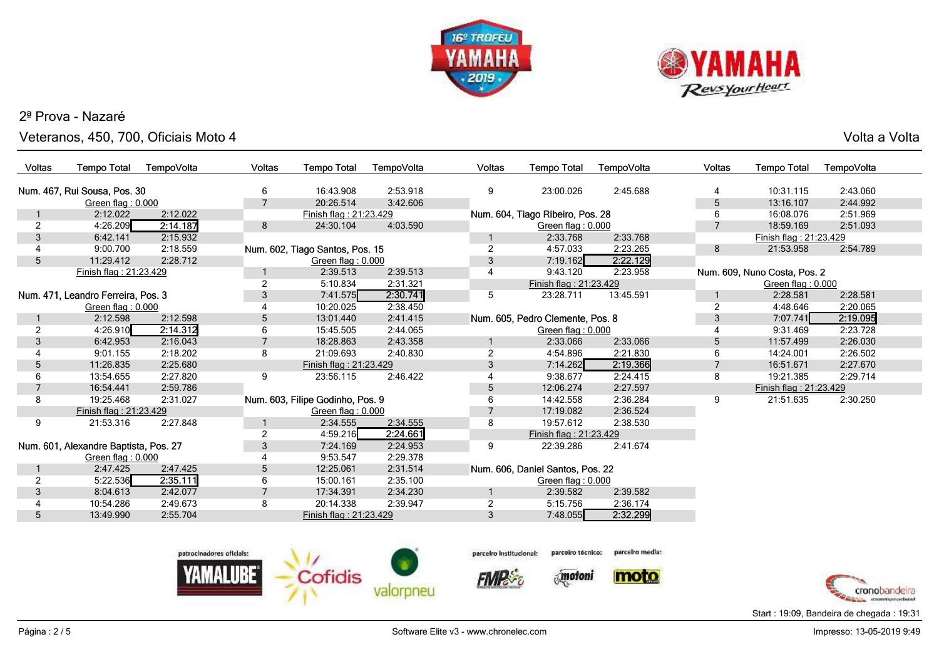



Veteranos, 450, 700, Oficiais Moto 4

|  | Volta a Volta |
|--|---------------|
|  |               |

| Voltas                                | <b>Tempo Total</b>           | TempoVolta   | <b>Voltas</b>  | <b>Tempo Total</b>               | TempoVolta | <b>Voltas</b>  | <b>Tempo Total</b>               | TempoVolta | <b>Voltas</b>  | <b>Tempo Total</b>           | TempoVolta |
|---------------------------------------|------------------------------|--------------|----------------|----------------------------------|------------|----------------|----------------------------------|------------|----------------|------------------------------|------------|
|                                       | Num. 467, Rui Sousa, Pos. 30 |              | 6              | 16:43.908                        | 2:53.918   | 9              | 23:00.026                        | 2:45.688   | 4              | 10:31.115                    | 2:43.060   |
|                                       | Green flag: 0.000            |              | $\overline{7}$ | 20:26.514                        | 3:42.606   |                |                                  |            | 5              | 13:16.107                    | 2:44.992   |
|                                       | 2:12.022                     | 2:12.022     |                | Finish flag: 21:23.429           |            |                | Num. 604, Tiago Ribeiro, Pos. 28 |            | 6              | 16:08.076                    | 2:51.969   |
| $\overline{2}$                        | 4:26.209                     | 2:14.187     | 8              | 24:30.104                        | 4:03.590   |                | Green flag: 0.000                |            | $\overline{7}$ | 18:59.169                    | 2:51.093   |
| 3                                     | 6:42.141                     | 2:15.932     |                |                                  |            |                | 2:33.768                         | 2:33.768   |                | Finish flag: 21:23.429       |            |
|                                       | 9:00.700                     | 2:18.559     |                | Num. 602, Tiago Santos, Pos. 15  |            | 2              | 4:57.033                         | 2:23.265   | 8              | 21:53.958                    | 2:54.789   |
| 5 <sup>5</sup>                        | 11:29.412                    | 2:28.712     |                | Green flag: 0.000                |            | 3              | 7:19.162                         | 2:22.129   |                |                              |            |
|                                       | Finish flag: 21:23.429       |              | 1              | 2:39.513                         | 2:39.513   | 4              | 9:43.120                         | 2:23.958   |                | Num. 609, Nuno Costa, Pos. 2 |            |
|                                       |                              |              | $\overline{2}$ | 5:10.834                         | 2:31.321   |                | Finish flag: 21:23.429           |            |                | Green flag: 0.000            |            |
| Num. 471, Leandro Ferreira, Pos. 3    |                              |              | 3              | 7:41.575                         | 2:30.741   | 5              | 23:28.711                        | 13:45.591  |                | 2:28.581                     | 2:28.581   |
|                                       | Green flag: 0.000            |              |                | 10:20.025                        | 2:38.450   |                |                                  |            | $\overline{2}$ | 4:48.646                     | 2:20.065   |
|                                       | 2:12.598                     | 2:12.598     | 5              | 13:01.440                        | 2:41.415   |                | Num. 605, Pedro Clemente, Pos. 8 |            | 3              | 7:07.741                     | 2:19.095   |
| $\overline{2}$                        | 4:26.910                     | 2:14.312     | 6              | 15:45.505                        | 2:44.065   |                | Green flag: 0.000                |            |                | 9:31.469                     | 2:23.728   |
| 3                                     | 6:42.953                     | 2:16.043     | $\overline{7}$ | 18:28.863                        | 2:43.358   |                | 2:33.066                         | 2:33.066   | 5              | 11:57.499                    | 2:26.030   |
|                                       | 9:01.155                     | 2:18.202     | 8              | 21:09.693                        | 2:40.830   | $\overline{c}$ | 4:54.896                         | 2:21.830   | 6              | 14:24.001                    | 2:26.502   |
| 5                                     | 11:26.835                    | 2:25.680     |                | Finish flag: 21:23.429           |            | 3              | 7:14.262                         | 2:19.366   | $\overline{7}$ | 16:51.671                    | 2:27.670   |
| 6                                     | 13:54.655                    | 2:27.820     | 9              | 23:56.115                        | 2:46.422   |                | 9:38.677                         | 2:24.415   | 8              | 19:21.385                    | 2:29.714   |
| $\overline{7}$                        | 16:54.441                    | 2:59.786     |                |                                  |            | 5              | 12:06.274                        | 2:27.597   |                | Finish flag: 21:23.429       |            |
| 8                                     | 19:25.468                    | 2:31.027     |                | Num. 603, Filipe Godinho, Pos. 9 |            |                | 14:42.558                        | 2:36.284   | 9              | 21:51.635                    | 2:30.250   |
|                                       | Finish flag: 21:23.429       |              |                | Green flag: 0.000                |            |                | 17:19.082                        | 2:36.524   |                |                              |            |
| 9                                     | 21:53.316                    | 2:27.848     |                | 2:34.555                         | 2:34.555   | 8              | 19:57.612                        | 2:38.530   |                |                              |            |
|                                       |                              |              | $\overline{2}$ | 4:59.216                         | 2:24.661   |                | Finish flag: 21:23.429           |            |                |                              |            |
| Num. 601, Alexandre Baptista, Pos. 27 |                              | $\mathbf{3}$ | 7:24.169       | 2:24.953                         | 9          | 22:39.286      | 2:41.674                         |            |                |                              |            |
|                                       | Green flag: 0.000            |              | 4              | 9:53.547                         | 2:29.378   |                |                                  |            |                |                              |            |
|                                       | 2:47.425                     | 2:47.425     | 5              | 12:25.061                        | 2:31.514   |                | Num. 606, Daniel Santos, Pos. 22 |            |                |                              |            |
| $\overline{2}$                        | 5:22.536                     | 2:35.111     | 6              | 15:00.161                        | 2:35.100   |                | Green flag: 0.000                |            |                |                              |            |
| 3                                     | 8:04.613                     | 2:42.077     | $\overline{7}$ | 17:34.391                        | 2:34.230   |                | 2:39.582                         | 2:39.582   |                |                              |            |
|                                       | 10:54.286                    | 2:49.673     | 8              | 20:14.338                        | 2:39.947   | $\overline{2}$ | 5:15.756                         | 2:36.174   |                |                              |            |
| $5^{\circ}$                           | 13:49.990                    | 2:55.704     |                | Finish flag: 21:23.429           |            | $\mathbf{3}$   | 7:48.055                         | 2:32.299   |                |                              |            |
|                                       |                              |              |                |                                  |            |                |                                  |            |                |                              |            |
|                                       |                              |              |                |                                  |            |                |                                  |            |                |                              |            |





**FIMPS** 

 $\delta_{\rm s}$  motoni

parcelro media:



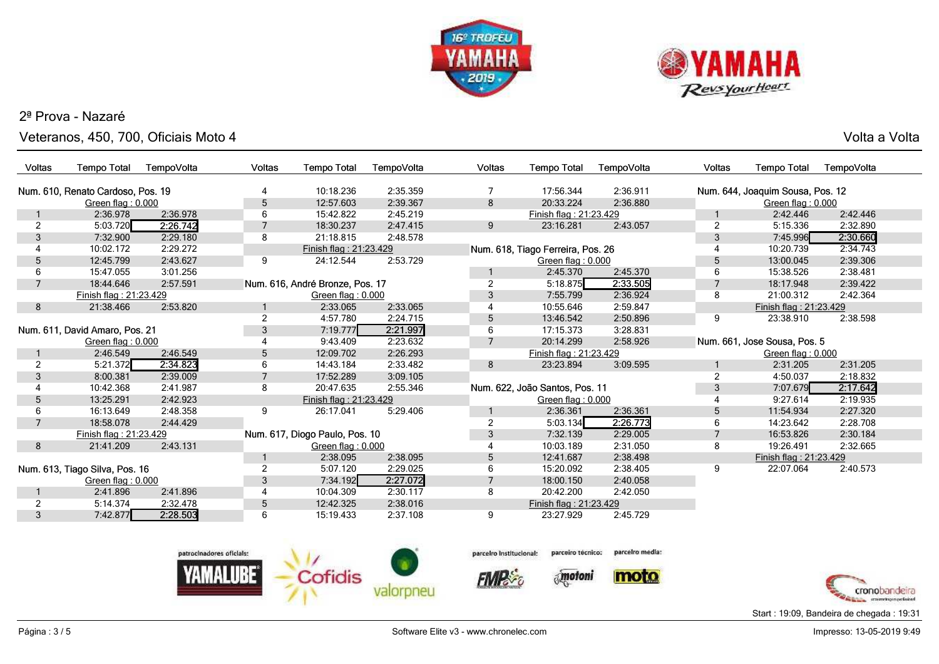



 Veteranos, 450, 700, Oficiais Moto 4Volta a Volta

| <b>Voltas</b>                  | <b>Tempo Total</b>                | TempoVolta     | Voltas         | <b>Tempo Total</b>              | TempoVolta     | <b>Voltas</b>  | <b>Tempo Total</b>                | TempoVolta | Voltas                       | <b>Tempo Total</b>               | TempoVolta |  |
|--------------------------------|-----------------------------------|----------------|----------------|---------------------------------|----------------|----------------|-----------------------------------|------------|------------------------------|----------------------------------|------------|--|
|                                |                                   |                |                |                                 |                |                |                                   |            |                              |                                  |            |  |
|                                | Num. 610, Renato Cardoso, Pos. 19 |                | 4              | 10:18.236                       | 2:35.359       |                | 17:56.344                         | 2:36.911   |                              | Num. 644, Joaquim Sousa, Pos. 12 |            |  |
|                                | Green flag: 0.000                 |                | 5              | 12:57.603                       | 2:39.367       | 8              | 20:33.224                         | 2:36.880   |                              | Green flag: 0.000                |            |  |
|                                | 2:36.978                          | 2:36.978       | 6              | 15:42.822                       | 2:45.219       |                | Finish flag: 21:23.429            |            |                              | 2:42.446                         | 2:42.446   |  |
| 2                              | 5:03.720                          | 2:26.742       |                | 18:30.237                       | 2:47.415       | 9              | 23:16.281                         | 2:43.057   | $\overline{2}$               | 5:15.336                         | 2:32.890   |  |
| 3                              | 7:32.900                          | 2:29.180       | 8              | 21:18.815                       | 2:48.578       |                |                                   |            | 3                            | 7:45.996                         | 2:30.660   |  |
|                                | 10:02.172                         | 2:29.272       |                | Finish flag: 21:23.429          |                |                | Num. 618, Tiago Ferreira, Pos. 26 |            |                              | 10:20.739                        | 2:34.743   |  |
| 5                              | 12:45.799                         | 2:43.627       | 9              | 24:12.544                       | 2:53.729       |                | Green flag: 0.000                 |            | 5                            | 13:00.045                        | 2:39.306   |  |
| 6                              | 15:47.055                         | 3:01.256       |                |                                 |                |                | 2:45.370                          | 2:45.370   | 6                            | 15:38.526                        | 2:38.481   |  |
| $\overline{7}$                 | 18:44.646                         | 2:57.591       |                | Num. 616, André Bronze, Pos. 17 |                | $\mathfrak{p}$ | 5:18.875                          | 2:33.505   |                              | 18:17.948                        | 2:39.422   |  |
|                                | Finish flag: 21:23.429            |                |                | Green flag: 0.000               |                | 3              | 7:55.799                          | 2:36.924   | 8                            | 21:00.312                        | 2:42.364   |  |
| 8                              | 21:38.466                         | 2:53.820       |                | 2:33.065                        | 2:33.065       | 4              | 10:55.646                         | 2:59.847   |                              | Finish flag: 21:23.429           |            |  |
|                                |                                   |                | $\overline{2}$ | 4:57.780                        | 2:24.715       | 5              | 13:46.542                         | 2:50.896   | 9                            | 23:38.910                        | 2:38.598   |  |
| Num. 611, David Amaro, Pos. 21 |                                   | $\mathfrak{Z}$ | 7:19.777       | 2:21.997                        | 6              | 17:15.373      | 3:28.831                          |            |                              |                                  |            |  |
| Green flag: 0.000              |                                   |                | 9:43.409       | 2:23.632                        | $\overline{7}$ | 20:14.299      | 2:58.926                          |            | Num. 661, Jose Sousa, Pos. 5 |                                  |            |  |
|                                | 2:46.549                          | 2:46.549       | 5              | 12:09.702                       | 2:26.293       |                | Finish flag: 21:23.429            |            |                              | Green flag: 0.000                |            |  |
| 2                              | 5:21.372                          | 2:34.823       | 6              | 14:43.184                       | 2:33.482       | 8              | 23:23.894                         | 3:09.595   |                              | 2:31.205                         | 2:31.205   |  |
| 3                              | 8:00.381                          | 2:39.009       |                | 17:52.289                       | 3:09.105       |                |                                   |            | 2                            | 4:50.037                         | 2:18.832   |  |
|                                | 10:42.368                         | 2:41.987       | 8              | 20:47.635                       | 2:55.346       |                | Num. 622, João Santos, Pos. 11    |            | 3                            | 7:07.679                         | 2:17.642   |  |
| 5                              | 13:25.291                         | 2:42.923       |                | Finish flag: 21:23.429          |                |                | Green flag: 0.000                 |            |                              | 9:27.614                         | 2:19.935   |  |
| 6                              | 16:13.649                         | 2:48.358       | 9              | 26:17.041                       | 5:29.406       |                | 2:36.361                          | 2:36.361   | 5                            | 11:54.934                        | 2:27.320   |  |
| $\overline{7}$                 | 18:58.078                         | 2:44.429       |                |                                 |                | $\overline{2}$ | 5:03.134                          | 2:26.773   | 6                            | 14:23.642                        | 2:28.708   |  |
|                                | Finish flag: 21:23.429            |                |                | Num. 617, Diogo Paulo, Pos. 10  |                | 3              | 7:32.139                          | 2:29.005   |                              | 16:53.826                        | 2:30.184   |  |
| 8                              | 21:41.209                         | 2:43.131       |                | Green flag: 0.000               |                |                | 10:03.189                         | 2:31.050   | 8                            | 19:26.491                        | 2:32.665   |  |
|                                |                                   |                |                | 2:38.095                        | 2:38.095       | 5              | 12:41.687                         | 2:38.498   |                              | Finish flag: 21:23.429           |            |  |
|                                | Num. 613, Tiago Silva, Pos. 16    |                | 2              | 5:07.120                        | 2:29.025       | 6              | 15:20.092                         | 2:38.405   | 9                            | 22:07.064                        | 2:40.573   |  |
|                                | Green flag: $0.000$               |                | 3              | 7:34.192                        | 2:27.072       |                | 18:00.150                         | 2:40.058   |                              |                                  |            |  |
|                                | 2:41.896                          | 2:41.896       | 4              | 10:04.309                       | 2:30.117       | 8              | 20:42.200                         | 2:42.050   |                              |                                  |            |  |
| 2                              | 5:14.374                          | 2:32.478       | 5              | 12:42.325                       | 2:38.016       |                | Finish flag: 21:23.429            |            |                              |                                  |            |  |
| 3                              | 7:42.877                          | 2:28.503       | 6              | 15:19.433                       | 2:37.108       | 9              | 23:27.929                         | 2:45.729   |                              |                                  |            |  |
|                                |                                   |                |                |                                 |                |                |                                   |            |                              |                                  |            |  |



parceiro técnico: parceiro Institucional:

**FIMPS** 



parcelro media:



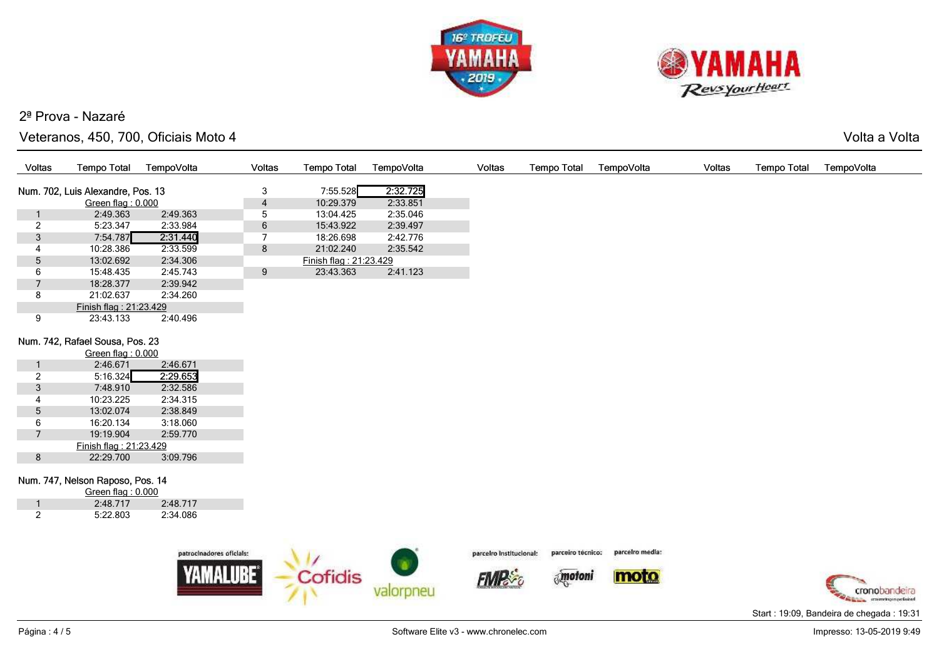



#### Veteranos, 450, 700, Oficiais Moto 4

Volta a Volta

| Voltas          | <b>Tempo Total</b>                | TempoVolta               | <b>Voltas</b>   | <b>Tempo Total</b>     | TempoVolta | <b>Voltas</b>           | <b>Tempo Total</b> | TempoVolta      | <b>Voltas</b> | <b>Tempo Total</b> | TempoVolta |
|-----------------|-----------------------------------|--------------------------|-----------------|------------------------|------------|-------------------------|--------------------|-----------------|---------------|--------------------|------------|
|                 | Num. 702, Luis Alexandre, Pos. 13 |                          | 3               | 7:55.528               | 2:32.725   |                         |                    |                 |               |                    |            |
|                 | Green flag: 0.000                 |                          | 4               | 10:29.379              | 2:33.851   |                         |                    |                 |               |                    |            |
| 1               | 2:49.363                          | 2:49.363                 | 5               | 13:04.425              | 2:35.046   |                         |                    |                 |               |                    |            |
| $\overline{2}$  | 5:23.347                          | 2:33.984                 | $6\phantom{.}6$ | 15:43.922              | 2:39.497   |                         |                    |                 |               |                    |            |
| $\mathfrak{Z}$  | 7:54.787                          | 2:31.440                 | $\overline{7}$  | 18:26.698              | 2:42.776   |                         |                    |                 |               |                    |            |
| 4               | 10:28.386                         | 2:33.599                 | 8               | 21:02.240              | 2:35.542   |                         |                    |                 |               |                    |            |
| $5\phantom{.0}$ | 13:02.692                         | 2:34.306                 |                 | Finish flag: 21:23.429 |            |                         |                    |                 |               |                    |            |
| 6               | 15:48.435                         | 2:45.743                 | 9               | 23:43.363              | 2:41.123   |                         |                    |                 |               |                    |            |
| $\overline{7}$  | 18:28.377                         | 2:39.942                 |                 |                        |            |                         |                    |                 |               |                    |            |
| 8               | 21:02.637                         | 2:34.260                 |                 |                        |            |                         |                    |                 |               |                    |            |
|                 | Finish flag: 21:23.429            |                          |                 |                        |            |                         |                    |                 |               |                    |            |
| 9               | 23:43.133                         | 2:40.496                 |                 |                        |            |                         |                    |                 |               |                    |            |
|                 | Num. 742, Rafael Sousa, Pos. 23   |                          |                 |                        |            |                         |                    |                 |               |                    |            |
|                 | Green flag: 0.000                 |                          |                 |                        |            |                         |                    |                 |               |                    |            |
|                 | 2:46.671                          | 2:46.671                 |                 |                        |            |                         |                    |                 |               |                    |            |
| $\overline{2}$  | 5:16.324                          | 2:29.653                 |                 |                        |            |                         |                    |                 |               |                    |            |
| $\mathfrak{Z}$  | 7:48.910                          | 2:32.586                 |                 |                        |            |                         |                    |                 |               |                    |            |
|                 | 10:23.225                         | 2:34.315                 |                 |                        |            |                         |                    |                 |               |                    |            |
| $5\phantom{.0}$ | 13:02.074                         | 2:38.849                 |                 |                        |            |                         |                    |                 |               |                    |            |
| 6               | 16:20.134                         | 3:18.060                 |                 |                        |            |                         |                    |                 |               |                    |            |
| $7\overline{ }$ | 19:19.904                         | 2:59.770                 |                 |                        |            |                         |                    |                 |               |                    |            |
|                 | Finish flag: 21:23.429            |                          |                 |                        |            |                         |                    |                 |               |                    |            |
| 8               | 22:29.700                         | 3:09.796                 |                 |                        |            |                         |                    |                 |               |                    |            |
|                 | Num. 747, Nelson Raposo, Pos. 14  |                          |                 |                        |            |                         |                    |                 |               |                    |            |
|                 | Green flag: 0.000                 |                          |                 |                        |            |                         |                    |                 |               |                    |            |
| 1               | 2:48.717                          | 2:48.717                 |                 |                        |            |                         |                    |                 |               |                    |            |
| $\overline{2}$  | 5:22.803                          | 2:34.086                 |                 |                        |            |                         |                    |                 |               |                    |            |
|                 |                                   |                          |                 |                        |            |                         |                    |                 |               |                    |            |
|                 |                                   | patrocinadores oficials: |                 | <b>Allen</b>           |            | parceiro institucional: | parceiro tecnico:  | parcelro media: |               |                    |            |